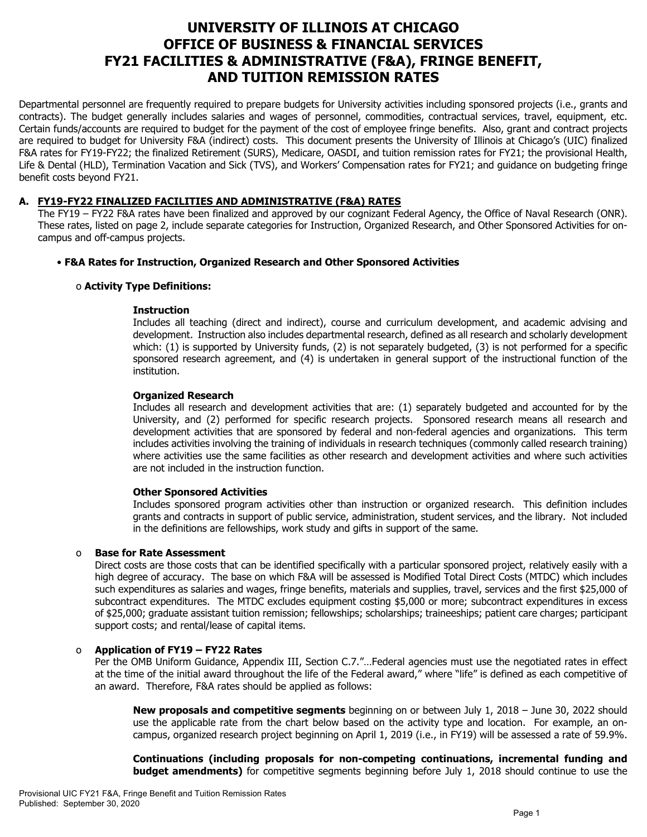# **UNIVERSITY OF ILLINOIS AT CHICAGO OFFICE OF BUSINESS & FINANCIAL SERVICES FY21 FACILITIES & ADMINISTRATIVE (F&A), FRINGE BENEFIT, AND TUITION REMISSION RATES**

Departmental personnel are frequently required to prepare budgets for University activities including sponsored projects (i.e., grants and contracts). The budget generally includes salaries and wages of personnel, commodities, contractual services, travel, equipment, etc. Certain funds/accounts are required to budget for the payment of the cost of employee fringe benefits. Also, grant and contract projects are required to budget for University F&A (indirect) costs. This document presents the University of Illinois at Chicago's (UIC) finalized F&A rates for FY19-FY22; the finalized Retirement (SURS), Medicare, OASDI, and tuition remission rates for FY21; the provisional Health, Life & Dental (HLD), Termination Vacation and Sick (TVS), and Workers' Compensation rates for FY21; and guidance on budgeting fringe benefit costs beyond FY21.

# **A. FY19-FY22 FINALIZED FACILITIES AND ADMINISTRATIVE (F&A) RATES**

The FY19 – FY22 F&A rates have been finalized and approved by our cognizant Federal Agency, the Office of Naval Research (ONR). These rates, listed on page 2, include separate categories for Instruction, Organized Research, and Other Sponsored Activities for oncampus and off-campus projects.

# • **F&A Rates for Instruction, Organized Research and Other Sponsored Activities**

# o **Activity Type Definitions:**

#### **Instruction**

Includes all teaching (direct and indirect), course and curriculum development, and academic advising and development. Instruction also includes departmental research, defined as all research and scholarly development which: (1) is supported by University funds, (2) is not separately budgeted, (3) is not performed for a specific sponsored research agreement, and (4) is undertaken in general support of the instructional function of the institution.

# **Organized Research**

Includes all research and development activities that are: (1) separately budgeted and accounted for by the University, and (2) performed for specific research projects. Sponsored research means all research and development activities that are sponsored by federal and non-federal agencies and organizations. This term includes activities involving the training of individuals in research techniques (commonly called research training) where activities use the same facilities as other research and development activities and where such activities are not included in the instruction function.

#### **Other Sponsored Activities**

Includes sponsored program activities other than instruction or organized research. This definition includes grants and contracts in support of public service, administration, student services, and the library. Not included in the definitions are fellowships, work study and gifts in support of the same.

# o **Base for Rate Assessment**

Direct costs are those costs that can be identified specifically with a particular sponsored project, relatively easily with a high degree of accuracy. The base on which F&A will be assessed is Modified Total Direct Costs (MTDC) which includes such expenditures as salaries and wages, fringe benefits, materials and supplies, travel, services and the first \$25,000 of subcontract expenditures. The MTDC excludes equipment costing \$5,000 or more; subcontract expenditures in excess of \$25,000; graduate assistant tuition remission; fellowships; scholarships; traineeships; patient care charges; participant support costs; and rental/lease of capital items.

# o **Application of FY19 – FY22 Rates**

Per the OMB Uniform Guidance, Appendix III, Section C.7."…Federal agencies must use the negotiated rates in effect at the time of the initial award throughout the life of the Federal award," where "life" is defined as each competitive of an award. Therefore, F&A rates should be applied as follows:

**New proposals and competitive segments** beginning on or between July 1, 2018 – June 30, 2022 should use the applicable rate from the chart below based on the activity type and location. For example, an oncampus, organized research project beginning on April 1, 2019 (i.e., in FY19) will be assessed a rate of 59.9%.

**Continuations (including proposals for non-competing continuations, incremental funding and budget amendments)** for competitive segments beginning before July 1, 2018 should continue to use the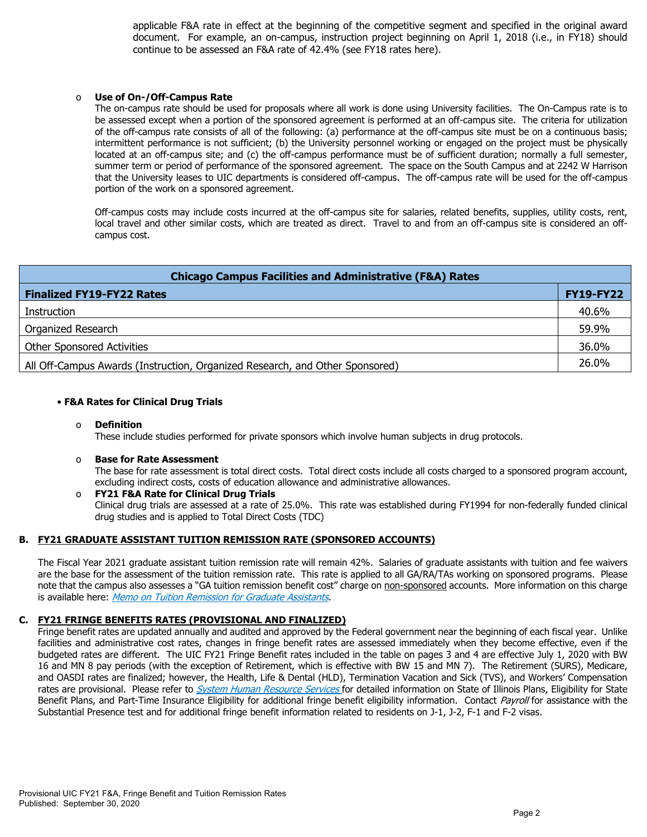applicable F&A rate in effect at the beginning of the competitive segment and specified in the original award document. For example, an on-campus, instruction project beginning on April 1, 2018 (i.e., in FY18) should continue to be assessed an F&A rate of 42.4% (see FY18 rates here).

#### Use of On-/Off-Campus Rate

The on-campus rate should be used for proposals where all work is done using University facilities. The On-Campus rate is to be assessed except when a portion of the sponsored agreement is performed at an off-campus site. The criteria for utilization of the off-campus rate consists of all of the following: (a) performance at the off-campus site must be on a continuous basis; intermittent performance is not sufficient; (b) the University personnel working or engaged on the project must be physically located at an off-campus site; and (c) the off-campus performance must be of sufficient duration; normally a full semester, summer term or period of performance of the sponsored agreement. The space on the South Campus and at 2242 W Harrison that the University leases to UIC departments is considered off-campus. The off-campus rate will be used for the off-campus portion of the work on a sponsored agreement.

Off-campus costs may include costs incurred at the off-campus site for salaries, related benefits, supplies, utility costs, rent, local travel and other similar costs, which are treated as direct. Travel to and from an off-campus site is considered an offcampus cost.

| <b>Chicago Campus Facilities and Administrative (F&amp;A) Rates</b>          |                  |  |  |  |  |
|------------------------------------------------------------------------------|------------------|--|--|--|--|
| <b>Finalized FY19-FY22 Rates</b>                                             | <b>FY19-FY22</b> |  |  |  |  |
| Instruction                                                                  | 40.6%            |  |  |  |  |
| Organized Research                                                           | 59.9%            |  |  |  |  |
| <b>Other Sponsored Activities</b>                                            | 36.0%            |  |  |  |  |
| All Off-Campus Awards (Instruction, Organized Research, and Other Sponsored) | 26.0%            |  |  |  |  |

#### • **F&A Rates for Clinical Drug Trials**

#### o **Definition**

These include studies performed for private sponsors which involve human subjects in drug protocols.

#### o **Base for Rate Assessment**

The base for rate assessment is total direct costs. Total direct costs include all costs charged to a sponsored program account, excluding indirect costs, costs of education allowance and administrative allowances.

#### o **FY21 F&A Rate for Clinical Drug Trials** Clinical drug trials are assessed at a rate of 25.0%. This rate was established during FY1994 for non-federally funded clinical drug studies and is applied to Total Direct Costs (TDC)

# **B. FY21 GRADUATE ASSISTANT TUITION REMISSION RATE (SPONSORED ACCOUNTS)**

The Fiscal Year 2021 graduate assistant tuition remission rate will remain 42%. Salaries of graduate assistants with tuition and fee waivers are the base for the assessment of the tuition remission rate. This rate is applied to all GA/RA/TAs working on sponsored programs. Please note that the campus also assesses a "GA tuition remission benefit cost" charge on non-sponsored accounts. More information on this charge is available here: [Memo on Tuition Remission for Graduate Assistants](https://www.obfs.uillinois.edu/common/pages/DisplayFile.aspx?itemId=436386).

# **C. FY21 FRINGE BENEFITS RATES (PROVISIONAL AND FINALIZED)**

Fringe benefit rates are updated annually and audited and approved by the Federal government near the beginning of each fiscal year. Unlike facilities and administrative cost rates, changes in fringe benefit rates are assessed immediately when they become effective, even if the budgeted rates are different. The UIC FY21 Fringe Benefit rates included in the table on pages 3 and 4 are effective July 1, 2020 with BW 16 and MN 8 pay periods (with the exception of Retirement, which is effective with BW 15 and MN 7). The Retirement (SURS), Medicare, and OASDI rates are finalized; however, the Health, Life & Dental (HLD), Termination Vacation and Sick (TVS), and Workers' Compensation rates are provisional. Please refer to *[System Human Resource Services](https://www.hr.uillinois.edu/benefits/)* for detailed information on State of Illinois Plans, Eligibility for State Benefit Plans, and Part-Time Insurance Eligibility for additional fringe benefit eligibility information. Contact [Payroll](https://www.obfs.uillinois.edu/payroll/customer-service/) for assistance with the Substantial Presence test and for additional fringe benefit information related to residents on J-1, J-2, F-1 and F-2 visas.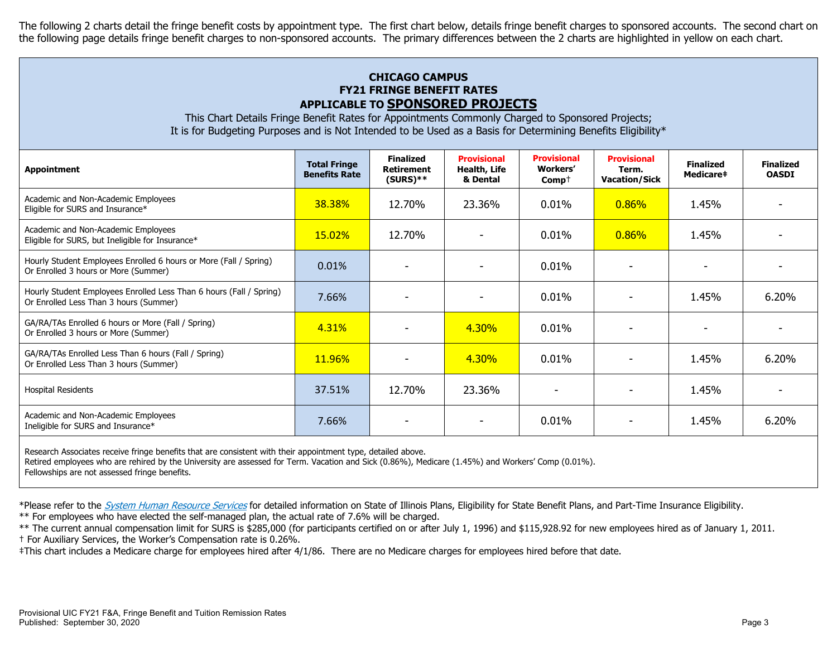The following 2 charts detail the fringe benefit costs by appointment type. The first chart below, details fringe benefit charges to sponsored accounts. The second chart on the following page details fringe benefit charges to non-sponsored accounts. The primary differences between the 2 charts are highlighted in yellow on each chart.

# **CHICAGO CAMPUS FY21 FRINGE BENEFIT RATES APPLICABLE TO SPONSORED PROJECTS**

This Chart Details Fringe Benefit Rates for Appointments Commonly Charged to Sponsored Projects; It is for Budgeting Purposes and is Not Intended to be Used as a Basis for Determining Benefits Eligibility\*

| <b>Appointment</b>                                                                                            | <b>Total Fringe</b><br><b>Benefits Rate</b> | <b>Finalized</b><br><b>Retirement</b><br>$(SURS)$ ** | <b>Provisional</b><br>Health, Life<br>& Dental | <b>Provisional</b><br><b>Workers'</b><br>$Comp+$ | <b>Provisional</b><br>Term.<br><b>Vacation/Sick</b> | <b>Finalized</b><br>Medicare# | <b>Finalized</b><br><b>OASDI</b> |
|---------------------------------------------------------------------------------------------------------------|---------------------------------------------|------------------------------------------------------|------------------------------------------------|--------------------------------------------------|-----------------------------------------------------|-------------------------------|----------------------------------|
| Academic and Non-Academic Employees<br>Eligible for SURS and Insurance*                                       | 38.38%                                      | 12.70%                                               | 23.36%                                         | 0.01%                                            | $0.86\%$                                            | 1.45%                         |                                  |
| Academic and Non-Academic Employees<br>Eligible for SURS, but Ineligible for Insurance*                       | <b>15.02%</b>                               | 12.70%                                               |                                                | 0.01%                                            | $0.86\%$                                            | 1.45%                         |                                  |
| Hourly Student Employees Enrolled 6 hours or More (Fall / Spring)<br>Or Enrolled 3 hours or More (Summer)     | 0.01%                                       |                                                      |                                                | 0.01%                                            |                                                     |                               |                                  |
| Hourly Student Employees Enrolled Less Than 6 hours (Fall / Spring)<br>Or Enrolled Less Than 3 hours (Summer) | 7.66%                                       |                                                      |                                                | 0.01%                                            |                                                     | 1.45%                         | 6.20%                            |
| GA/RA/TAs Enrolled 6 hours or More (Fall / Spring)<br>Or Enrolled 3 hours or More (Summer)                    | 4.31%                                       |                                                      | $4.30\%$                                       | 0.01%                                            |                                                     |                               |                                  |
| GA/RA/TAs Enrolled Less Than 6 hours (Fall / Spring)<br>Or Enrolled Less Than 3 hours (Summer)                | <b>11.96%</b>                               |                                                      | 4.30%                                          | $0.01\%$                                         |                                                     | 1.45%                         | 6.20%                            |
| <b>Hospital Residents</b>                                                                                     | 37.51%                                      | 12.70%                                               | 23.36%                                         |                                                  |                                                     | 1.45%                         |                                  |
| Academic and Non-Academic Employees<br>Ineligible for SURS and Insurance*                                     | 7.66%                                       |                                                      |                                                | 0.01%                                            |                                                     | 1.45%                         | 6.20%                            |
|                                                                                                               |                                             |                                                      |                                                |                                                  |                                                     |                               |                                  |

Research Associates receive fringe benefits that are consistent with their appointment type, detailed above.

Retired employees who are rehired by the University are assessed for Term. Vacation and Sick (0.86%), Medicare (1.45%) and Workers' Comp (0.01%).

Fellowships are not assessed fringe benefits.

\*Please refer to the [System Human Resource Services](https://www.hr.uillinois.edu/benefits/) for detailed information on State of Illinois Plans, Eligibility for State Benefit Plans, and Part-Time Insurance Eligibility.

\*\* For employees who have elected the self-managed plan, the actual rate of 7.6% will be charged.

\*\* The current annual compensation limit for SURS is \$285,000 (for participants certified on or after July 1, 1996) and \$115,928.92 for new employees hired as of January 1, 2011. † For Auxiliary Services, the Worker's Compensation rate is 0.26%.

‡This chart includes a Medicare charge for employees hired after 4/1/86. There are no Medicare charges for employees hired before that date.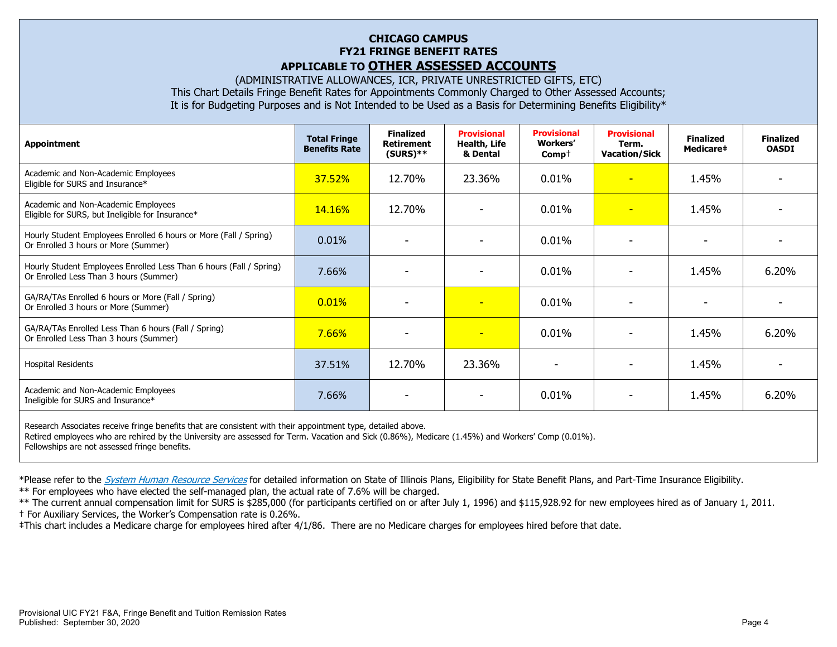# **CHICAGO CAMPUS FY21 FRINGE BENEFIT RATES APPLICABLE TO OTHER ASSESSED ACCOUNTS**

(ADMINISTRATIVE ALLOWANCES, ICR, PRIVATE UNRESTRICTED GIFTS, ETC) This Chart Details Fringe Benefit Rates for Appointments Commonly Charged to Other Assessed Accounts; It is for Budgeting Purposes and is Not Intended to be Used as a Basis for Determining Benefits Eligibility\*

| Appointment                                                                                                   | <b>Total Fringe</b><br><b>Benefits Rate</b> | <b>Finalized</b><br><b>Retirement</b><br>$(SURS)$ ** | <b>Provisional</b><br>Health, Life<br>& Dental | <b>Provisional</b><br>Workers'<br>$Comp+$ | <b>Provisional</b><br>Term.<br><b>Vacation/Sick</b> | <b>Finalized</b><br>Medicare‡ | <b>Finalized</b><br><b>OASDI</b> |
|---------------------------------------------------------------------------------------------------------------|---------------------------------------------|------------------------------------------------------|------------------------------------------------|-------------------------------------------|-----------------------------------------------------|-------------------------------|----------------------------------|
| Academic and Non-Academic Employees<br>Eligible for SURS and Insurance*                                       | 37.52%                                      | 12.70%                                               | 23.36%                                         | 0.01%                                     | $\overline{\phantom{0}}$                            | 1.45%                         |                                  |
| Academic and Non-Academic Employees<br>Eligible for SURS, but Ineligible for Insurance*                       | 14.16%                                      | 12.70%                                               |                                                | $0.01\%$                                  | $\overline{\phantom{0}}$                            | 1.45%                         |                                  |
| Hourly Student Employees Enrolled 6 hours or More (Fall / Spring)<br>Or Enrolled 3 hours or More (Summer)     | 0.01%                                       | -                                                    | ۰                                              | 0.01%                                     | ٠                                                   | -                             |                                  |
| Hourly Student Employees Enrolled Less Than 6 hours (Fall / Spring)<br>Or Enrolled Less Than 3 hours (Summer) | 7.66%                                       |                                                      |                                                | 0.01%                                     |                                                     | 1.45%                         | 6.20%                            |
| GA/RA/TAs Enrolled 6 hours or More (Fall / Spring)<br>Or Enrolled 3 hours or More (Summer)                    | 0.01%                                       |                                                      | н                                              | 0.01%                                     |                                                     |                               |                                  |
| GA/RA/TAs Enrolled Less Than 6 hours (Fall / Spring)<br>Or Enrolled Less Than 3 hours (Summer)                | 7.66%                                       | $\blacksquare$                                       | ٠                                              | 0.01%                                     |                                                     | 1.45%                         | 6.20%                            |
| <b>Hospital Residents</b>                                                                                     | 37.51%                                      | 12.70%                                               | 23.36%                                         |                                           |                                                     | 1.45%                         |                                  |
| Academic and Non-Academic Employees<br>Ineligible for SURS and Insurance*                                     | 7.66%                                       |                                                      |                                                | 0.01%                                     |                                                     | 1.45%                         | 6.20%                            |
|                                                                                                               |                                             |                                                      |                                                |                                           |                                                     |                               |                                  |

Research Associates receive fringe benefits that are consistent with their appointment type, detailed above. Retired employees who are rehired by the University are assessed for Term. Vacation and Sick (0.86%), Medicare (1.45%) and Workers' Comp (0.01%). Fellowships are not assessed fringe benefits.

\*Please refer to the [System Human Resource Services](https://www.hr.uillinois.edu/benefits/) for detailed information on State of Illinois Plans, Eligibility for State Benefit Plans, and Part-Time Insurance Eligibility.

\*\* For employees who have elected the self-managed plan, the actual rate of 7.6% will be charged.

\*\* The current annual compensation limit for SURS is \$285,000 (for participants certified on or after July 1, 1996) and \$115,928.92 for new employees hired as of January 1, 2011.

† For Auxiliary Services, the Worker's Compensation rate is 0.26%.

‡This chart includes a Medicare charge for employees hired after 4/1/86. There are no Medicare charges for employees hired before that date.